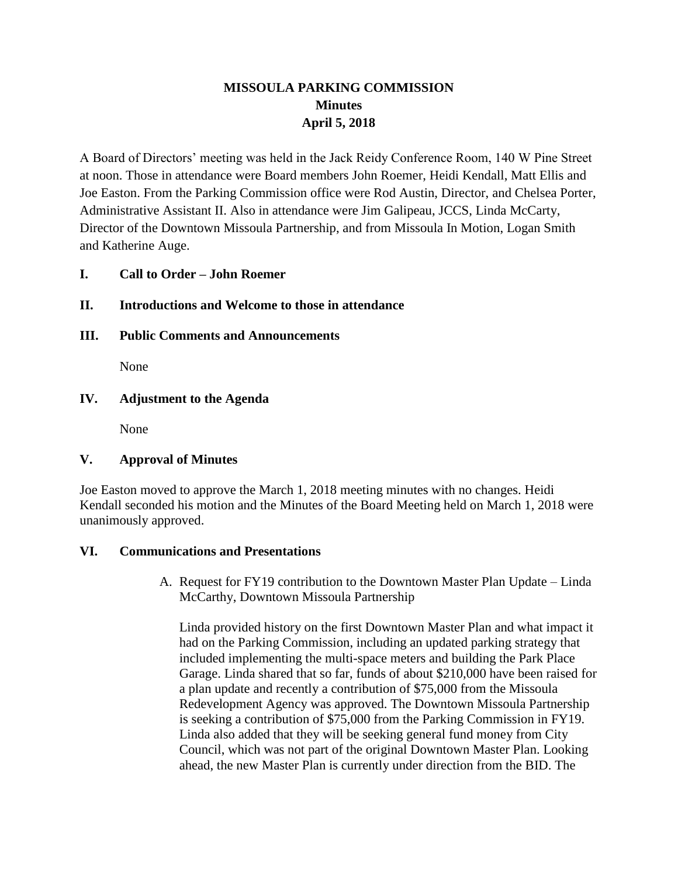# **MISSOULA PARKING COMMISSION Minutes April 5, 2018**

A Board of Directors' meeting was held in the Jack Reidy Conference Room, 140 W Pine Street at noon. Those in attendance were Board members John Roemer, Heidi Kendall, Matt Ellis and Joe Easton. From the Parking Commission office were Rod Austin, Director, and Chelsea Porter, Administrative Assistant II. Also in attendance were Jim Galipeau, JCCS, Linda McCarty, Director of the Downtown Missoula Partnership, and from Missoula In Motion, Logan Smith and Katherine Auge.

# **I. Call to Order – John Roemer**

## **II. Introductions and Welcome to those in attendance**

**III. Public Comments and Announcements**

None

### **IV. Adjustment to the Agenda**

None

# **V. Approval of Minutes**

Joe Easton moved to approve the March 1, 2018 meeting minutes with no changes. Heidi Kendall seconded his motion and the Minutes of the Board Meeting held on March 1, 2018 were unanimously approved.

### **VI. Communications and Presentations**

A. Request for FY19 contribution to the Downtown Master Plan Update – Linda McCarthy, Downtown Missoula Partnership

Linda provided history on the first Downtown Master Plan and what impact it had on the Parking Commission, including an updated parking strategy that included implementing the multi-space meters and building the Park Place Garage. Linda shared that so far, funds of about \$210,000 have been raised for a plan update and recently a contribution of \$75,000 from the Missoula Redevelopment Agency was approved. The Downtown Missoula Partnership is seeking a contribution of \$75,000 from the Parking Commission in FY19. Linda also added that they will be seeking general fund money from City Council, which was not part of the original Downtown Master Plan. Looking ahead, the new Master Plan is currently under direction from the BID. The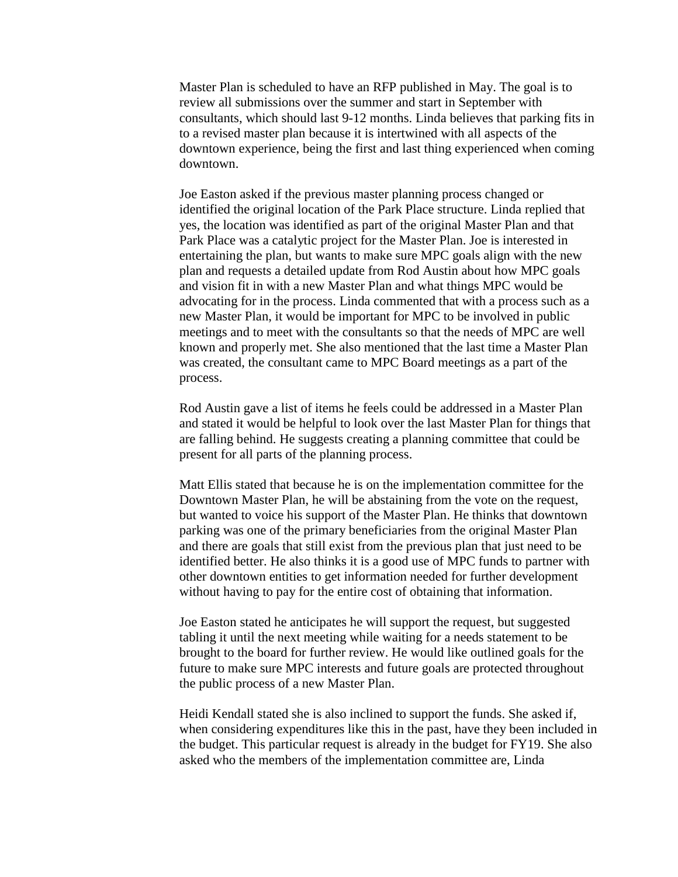Master Plan is scheduled to have an RFP published in May. The goal is to review all submissions over the summer and start in September with consultants, which should last 9-12 months. Linda believes that parking fits in to a revised master plan because it is intertwined with all aspects of the downtown experience, being the first and last thing experienced when coming downtown.

Joe Easton asked if the previous master planning process changed or identified the original location of the Park Place structure. Linda replied that yes, the location was identified as part of the original Master Plan and that Park Place was a catalytic project for the Master Plan. Joe is interested in entertaining the plan, but wants to make sure MPC goals align with the new plan and requests a detailed update from Rod Austin about how MPC goals and vision fit in with a new Master Plan and what things MPC would be advocating for in the process. Linda commented that with a process such as a new Master Plan, it would be important for MPC to be involved in public meetings and to meet with the consultants so that the needs of MPC are well known and properly met. She also mentioned that the last time a Master Plan was created, the consultant came to MPC Board meetings as a part of the process.

Rod Austin gave a list of items he feels could be addressed in a Master Plan and stated it would be helpful to look over the last Master Plan for things that are falling behind. He suggests creating a planning committee that could be present for all parts of the planning process.

Matt Ellis stated that because he is on the implementation committee for the Downtown Master Plan, he will be abstaining from the vote on the request, but wanted to voice his support of the Master Plan. He thinks that downtown parking was one of the primary beneficiaries from the original Master Plan and there are goals that still exist from the previous plan that just need to be identified better. He also thinks it is a good use of MPC funds to partner with other downtown entities to get information needed for further development without having to pay for the entire cost of obtaining that information.

Joe Easton stated he anticipates he will support the request, but suggested tabling it until the next meeting while waiting for a needs statement to be brought to the board for further review. He would like outlined goals for the future to make sure MPC interests and future goals are protected throughout the public process of a new Master Plan.

Heidi Kendall stated she is also inclined to support the funds. She asked if, when considering expenditures like this in the past, have they been included in the budget. This particular request is already in the budget for FY19. She also asked who the members of the implementation committee are, Linda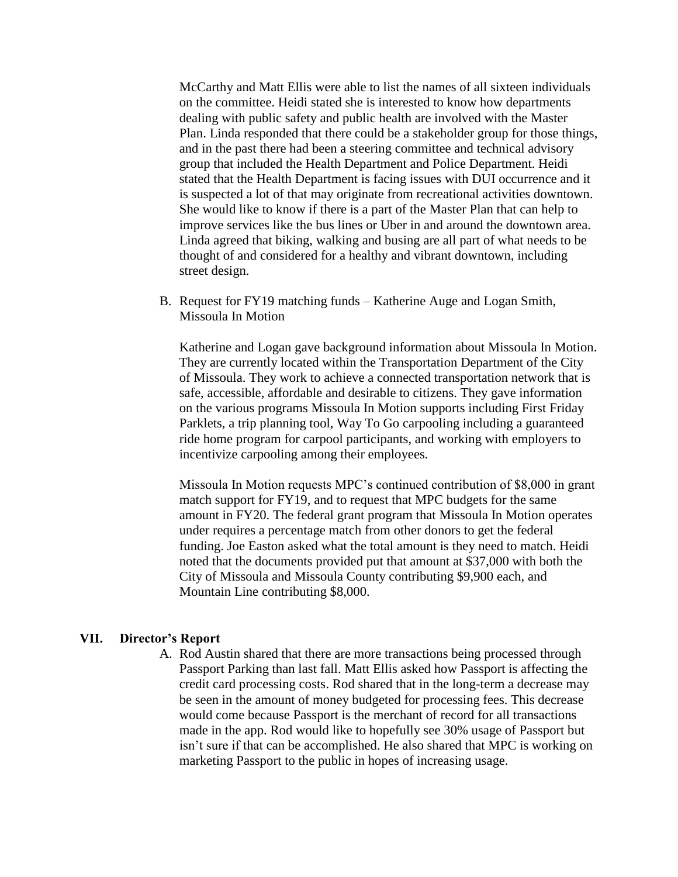McCarthy and Matt Ellis were able to list the names of all sixteen individuals on the committee. Heidi stated she is interested to know how departments dealing with public safety and public health are involved with the Master Plan. Linda responded that there could be a stakeholder group for those things, and in the past there had been a steering committee and technical advisory group that included the Health Department and Police Department. Heidi stated that the Health Department is facing issues with DUI occurrence and it is suspected a lot of that may originate from recreational activities downtown. She would like to know if there is a part of the Master Plan that can help to improve services like the bus lines or Uber in and around the downtown area. Linda agreed that biking, walking and busing are all part of what needs to be thought of and considered for a healthy and vibrant downtown, including street design.

B. Request for FY19 matching funds – Katherine Auge and Logan Smith, Missoula In Motion

Katherine and Logan gave background information about Missoula In Motion. They are currently located within the Transportation Department of the City of Missoula. They work to achieve a connected transportation network that is safe, accessible, affordable and desirable to citizens. They gave information on the various programs Missoula In Motion supports including First Friday Parklets, a trip planning tool, Way To Go carpooling including a guaranteed ride home program for carpool participants, and working with employers to incentivize carpooling among their employees.

Missoula In Motion requests MPC's continued contribution of \$8,000 in grant match support for FY19, and to request that MPC budgets for the same amount in FY20. The federal grant program that Missoula In Motion operates under requires a percentage match from other donors to get the federal funding. Joe Easton asked what the total amount is they need to match. Heidi noted that the documents provided put that amount at \$37,000 with both the City of Missoula and Missoula County contributing \$9,900 each, and Mountain Line contributing \$8,000.

#### **VII. Director's Report**

A. Rod Austin shared that there are more transactions being processed through Passport Parking than last fall. Matt Ellis asked how Passport is affecting the credit card processing costs. Rod shared that in the long-term a decrease may be seen in the amount of money budgeted for processing fees. This decrease would come because Passport is the merchant of record for all transactions made in the app. Rod would like to hopefully see 30% usage of Passport but isn't sure if that can be accomplished. He also shared that MPC is working on marketing Passport to the public in hopes of increasing usage.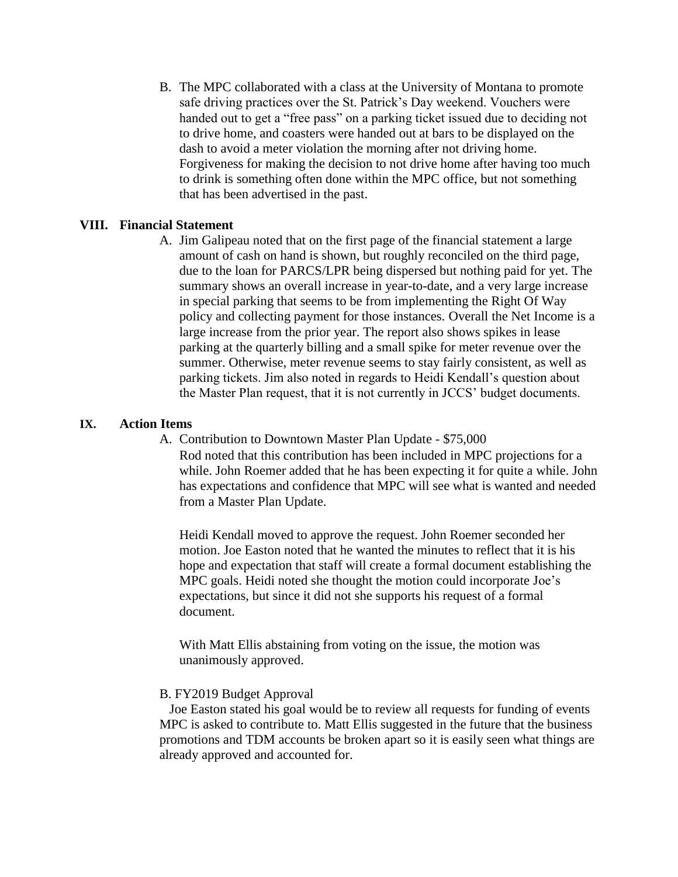B. The MPC collaborated with a class at the University of Montana to promote safe driving practices over the St. Patrick's Day weekend. Vouchers were handed out to get a "free pass" on a parking ticket issued due to deciding not to drive home, and coasters were handed out at bars to be displayed on the dash to avoid a meter violation the morning after not driving home. Forgiveness for making the decision to not drive home after having too much to drink is something often done within the MPC office, but not something that has been advertised in the past.

### **VIII. Financial Statement**

A. Jim Galipeau noted that on the first page of the financial statement a large amount of cash on hand is shown, but roughly reconciled on the third page, due to the loan for PARCS/LPR being dispersed but nothing paid for yet. The summary shows an overall increase in year-to-date, and a very large increase in special parking that seems to be from implementing the Right Of Way policy and collecting payment for those instances. Overall the Net Income is a large increase from the prior year. The report also shows spikes in lease parking at the quarterly billing and a small spike for meter revenue over the summer. Otherwise, meter revenue seems to stay fairly consistent, as well as parking tickets. Jim also noted in regards to Heidi Kendall's question about the Master Plan request, that it is not currently in JCCS' budget documents.

## **IX. Action Items**

A. Contribution to Downtown Master Plan Update - \$75,000

Rod noted that this contribution has been included in MPC projections for a while. John Roemer added that he has been expecting it for quite a while. John has expectations and confidence that MPC will see what is wanted and needed from a Master Plan Update.

Heidi Kendall moved to approve the request. John Roemer seconded her motion. Joe Easton noted that he wanted the minutes to reflect that it is his hope and expectation that staff will create a formal document establishing the MPC goals. Heidi noted she thought the motion could incorporate Joe's expectations, but since it did not she supports his request of a formal document.

With Matt Ellis abstaining from voting on the issue, the motion was unanimously approved.

### B. FY2019 Budget Approval

 Joe Easton stated his goal would be to review all requests for funding of events MPC is asked to contribute to. Matt Ellis suggested in the future that the business promotions and TDM accounts be broken apart so it is easily seen what things are already approved and accounted for.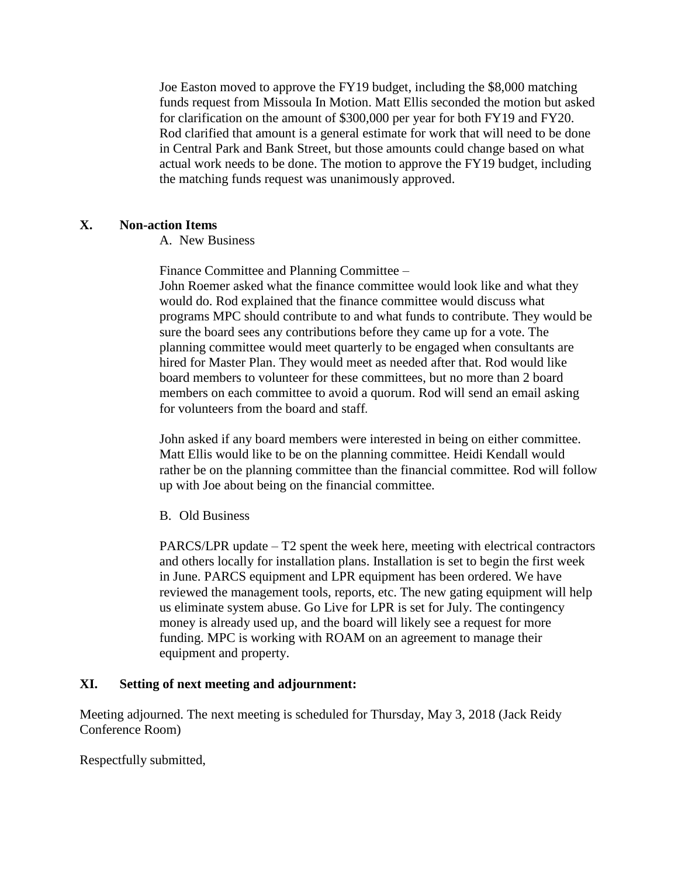Joe Easton moved to approve the FY19 budget, including the \$8,000 matching funds request from Missoula In Motion. Matt Ellis seconded the motion but asked for clarification on the amount of \$300,000 per year for both FY19 and FY20. Rod clarified that amount is a general estimate for work that will need to be done in Central Park and Bank Street, but those amounts could change based on what actual work needs to be done. The motion to approve the FY19 budget, including the matching funds request was unanimously approved.

## **X. Non-action Items**

A. New Business

Finance Committee and Planning Committee –

John Roemer asked what the finance committee would look like and what they would do. Rod explained that the finance committee would discuss what programs MPC should contribute to and what funds to contribute. They would be sure the board sees any contributions before they came up for a vote. The planning committee would meet quarterly to be engaged when consultants are hired for Master Plan. They would meet as needed after that. Rod would like board members to volunteer for these committees, but no more than 2 board members on each committee to avoid a quorum. Rod will send an email asking for volunteers from the board and staff*.* 

John asked if any board members were interested in being on either committee. Matt Ellis would like to be on the planning committee. Heidi Kendall would rather be on the planning committee than the financial committee. Rod will follow up with Joe about being on the financial committee.

B. Old Business

PARCS/LPR update – T2 spent the week here, meeting with electrical contractors and others locally for installation plans. Installation is set to begin the first week in June. PARCS equipment and LPR equipment has been ordered. We have reviewed the management tools, reports, etc. The new gating equipment will help us eliminate system abuse. Go Live for LPR is set for July. The contingency money is already used up, and the board will likely see a request for more funding. MPC is working with ROAM on an agreement to manage their equipment and property.

# **XI. Setting of next meeting and adjournment:**

Meeting adjourned. The next meeting is scheduled for Thursday, May 3, 2018 (Jack Reidy Conference Room)

Respectfully submitted,